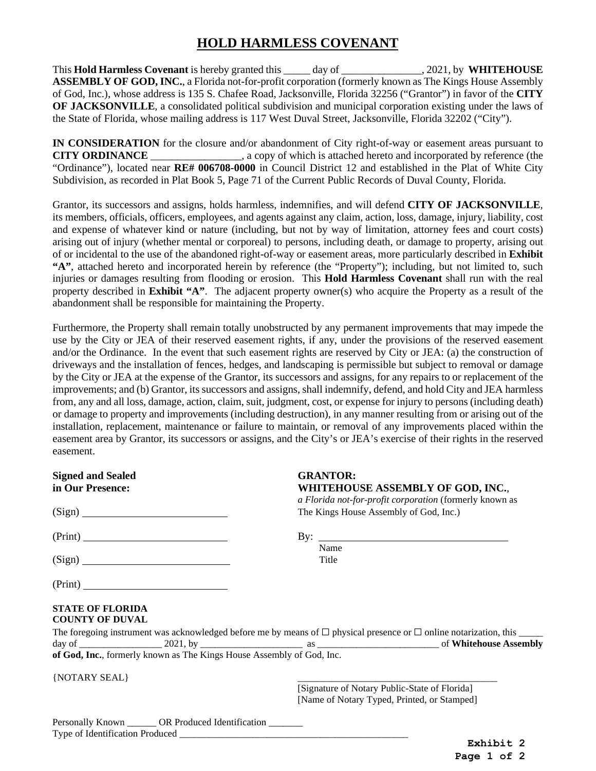## **HOLD HARMLESS COVENANT**

This **Hold Harmless Covenant** is hereby granted this \_\_\_\_\_ day of \_\_\_\_\_\_\_\_\_\_\_\_\_\_\_, 2021, by **WHITEHOUSE ASSEMBLY OF GOD, INC.**, a Florida not-for-profit corporation (formerly known as The Kings House Assembly of God, Inc.), whose address is 135 S. Chafee Road, Jacksonville, Florida 32256 ("Grantor") in favor of the **CITY OF JACKSONVILLE**, a consolidated political subdivision and municipal corporation existing under the laws of the State of Florida, whose mailing address is 117 West Duval Street, Jacksonville, Florida 32202 ("City").

**IN CONSIDERATION** for the closure and/or abandonment of City right-of-way or easement areas pursuant to **CITY ORDINANCE** \_\_\_\_\_\_\_\_\_\_\_\_\_\_\_\_\_, a copy of which is attached hereto and incorporated by reference (the "Ordinance"), located near **RE# 006708-0000** in Council District 12 and established in the Plat of White City Subdivision, as recorded in Plat Book 5, Page 71 of the Current Public Records of Duval County, Florida.

Grantor, its successors and assigns, holds harmless, indemnifies, and will defend **CITY OF JACKSONVILLE**, its members, officials, officers, employees, and agents against any claim, action, loss, damage, injury, liability, cost and expense of whatever kind or nature (including, but not by way of limitation, attorney fees and court costs) arising out of injury (whether mental or corporeal) to persons, including death, or damage to property, arising out of or incidental to the use of the abandoned right-of-way or easement areas, more particularly described in **Exhibit "A"**, attached hereto and incorporated herein by reference (the "Property"); including, but not limited to, such injuries or damages resulting from flooding or erosion. This **Hold Harmless Covenant** shall run with the real property described in **Exhibit "A"**. The adjacent property owner(s) who acquire the Property as a result of the abandonment shall be responsible for maintaining the Property.

Furthermore, the Property shall remain totally unobstructed by any permanent improvements that may impede the use by the City or JEA of their reserved easement rights, if any, under the provisions of the reserved easement and/or the Ordinance. In the event that such easement rights are reserved by City or JEA: (a) the construction of driveways and the installation of fences, hedges, and landscaping is permissible but subject to removal or damage by the City or JEA at the expense of the Grantor, its successors and assigns, for any repairs to or replacement of the improvements; and (b) Grantor, its successors and assigns, shall indemnify, defend, and hold City and JEA harmless from, any and all loss, damage, action, claim, suit, judgment, cost, or expense for injury to persons (including death) or damage to property and improvements (including destruction), in any manner resulting from or arising out of the installation, replacement, maintenance or failure to maintain, or removal of any improvements placed within the easement area by Grantor, its successors or assigns, and the City's or JEA's exercise of their rights in the reserved easement.

| <b>Signed and Sealed</b><br>in Our Presence:                          | <b>GRANTOR:</b>                                                                              | WHITEHOUSE ASSEMBLY OF GOD, INC.,                       |
|-----------------------------------------------------------------------|----------------------------------------------------------------------------------------------|---------------------------------------------------------|
| (Sign)                                                                | The Kings House Assembly of God, Inc.)                                                       | a Florida not-for-profit corporation (formerly known as |
|                                                                       |                                                                                              | By: $\qquad \qquad$                                     |
|                                                                       | Name<br>Title                                                                                |                                                         |
|                                                                       |                                                                                              |                                                         |
| <b>STATE OF FLORIDA</b><br><b>COUNTY OF DUVAL</b>                     |                                                                                              |                                                         |
|                                                                       |                                                                                              |                                                         |
| of God, Inc., formerly known as The Kings House Assembly of God, Inc. |                                                                                              |                                                         |
| {NOTARY SEAL}                                                         |                                                                                              |                                                         |
|                                                                       | [Signature of Notary Public-State of Florida]<br>[Name of Notary Typed, Printed, or Stamped] |                                                         |
| Personally Known _______ OR Produced Identification _______           |                                                                                              |                                                         |

**Exhibit 2 Page 1 of 2**